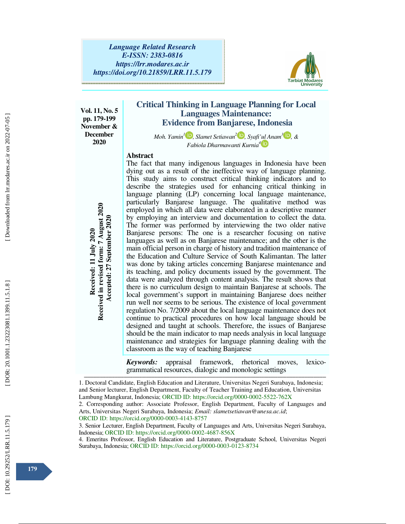

**Vol. 11, No. 5 pp. 179-199 November & December 2020** 

# **Critical Thinking in Language Planning for Local Languages Maintenance: Evidence from Banjarese, Indonesia**

*Moh. Yamin<sup>1</sup>* **D**, *Slamet Setiawan*<sup>2</sup> **D**, *Syafi'ul Anam*<sup>3</sup> **D**, &  *Fabiola Dharmawanti Kurnia<sup>4</sup>* 

### **Abstract**

The fact that many indigenous languages in Indonesia have been dying out as a result of the ineffective way of language planning. This study aims to construct critical thinking indicators and to describe the strategies used for enhancing critical thinking in language planning (LP) concerning local language maintenance, particularly Banjarese language. The qualitative method was employed in which all data were elaborated in a descriptive manner by employing an interview and documentation to collect the data. The former was performed by interviewing the two older native Banjarese persons: The one is a researcher focusing on native languages as well as on Banjarese maintenance; and the other is the main official person in charge of history and tradition maintenance of the Education and Culture Service of South Kalimantan. The latter was done by taking articles concerning Banjarese maintenance and its teaching, and policy documents issued by the government. The data were analyzed through content analysis. The result shows that there is no curriculum design to maintain Banjarese at schools. The local government's support in maintaining Banjarese does neither run well nor seems to be serious. The existence of local government regulation No. 7/2009 about the local language maintenance does not continue to practical procedures on how local language should be designed and taught at schools. Therefore, the issues of Banjarese should be the main indicator to map needs analysis in local language maintenance and strategies for language planning dealing with the classroom as the way of teaching Banjarese From the main official procedures on the main official December of the former was performed by interviewing an interview and documentation manifering and a proposed by interviewing the Education and Culture Service of Sout

*Keywords:* appraisal framework, rhetorical moves, lexicogrammatical resources, dialogic and monologic settings

1. Doctoral Candidate, English Education and Literature, Universitas Negeri Surabaya, Indonesia; and Senior lecturer, English Department, Faculty of Teacher Training and Education, Universitas Lambung Mangkurat, Indonesia; ORCID ID: https://orcid.org/0000-0002-5522-762X

<u> 2000 - 2000 - 2000 - 2000 - 2000 - 2000 - 2000 - 2000 - 2000 - 2000 - 2000 - 2000 - 2000 - 2000 - 2000 - 200</u>

2. Corresponding author: Associate Professor, English Department, Faculty of Languages and Arts, Universitas Negeri Surabaya, Indonesia; *Email: slametsetiawan@unesa.ac.id*; ORCID ID: https://orcid.org/0000-0003-4143-8757

3. Senior Lecturer, English Department, Faculty of Languages and Arts, Universitas Negeri Surabaya, Indonesia; ORCID ID: https://orcid.org/0000-0002-4687-856X

4. Emeritus Professor, English Education and Literature, Postgraduate School, Universitas Negeri

 [\[ DOI: 10.29252/LRR.11.5.179 \]](http://dx.doi.org/10.29252/LRR.11.5.179) [\[ DOR: 20.1001.1.23223081.1399.11.5.1.8](https://dorl.net/dor/20.1001.1.23223081.1399.11.5.1.8) ] [\[ Downloaded from lrr.modares.ac.ir on 20](https://lrr.modares.ac.ir/article-14-45095-fa.html)22-07-05 ] Downloaded from lrr.modares.ac.ir on 2022-07-05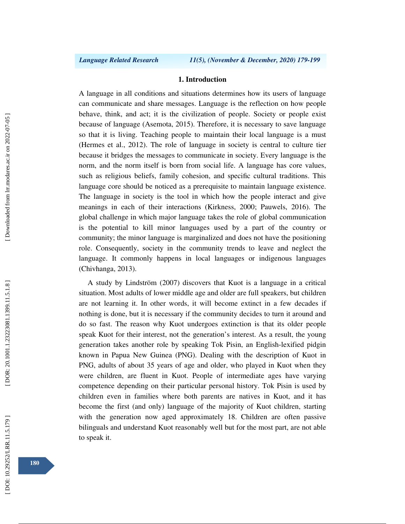#### **1. Introduction**

A language in all conditions and situations determines how its users of language can communicate and share messages. Language is the reflection on how people behave, think, and act; it is the civilization of people. Society or people exist because of language (Asemota, 2015). Therefore, it is necessary to save language so that it is living. Teaching people to maintain their local language is a must (Hermes et al., 2012). The role of language in society is central to culture tier because it bridges the messages to communicate in society. Every language is the norm, and the norm itself is born from social life. A language has core values, such as religious beliefs, family cohesion, and specific cultural traditions. This language core should be noticed as a prerequisite to maintain language existence. The language in society is the tool in which how the people interact and give meanings in each of their interactions (Kirkness, 2000; Pauwels, 2016). The global challenge in which major language takes the role of global communication is the potential to kill minor languages used by a part of the country or community; the minor language is marginalized and does not have the positioning role. Consequently, society in the community trends to leave and neglect the language. It commonly happens in local languages or indigenous languages (Chivhanga, 2013).

A study by Lindström (2007) discovers that Kuot is a language in a critical situation. Most adults of lower middle age and older are full speakers, but children are not learning it. In other words, it will become extinct in a few decades if nothing is done, but it is necessary if the community decides to turn it around and do so fast. The reason why Kuot undergoes extinction is that its older people speak Kuot for their interest, not the generation's interest. As a result, the young generation takes another role by speaking Tok Pisin, an English-lexified pidgin known in Papua New Guinea (PNG). Dealing with the description of Kuot in PNG, adults of about 35 years of age and older, who played in Kuot when they were children, are fluent in Kuot. People of intermediate ages have varying competence depending on their particular personal history. Tok Pisin is used by children even in families where both parents are natives in Kuot, and it has become the first (and only) language of the majority of Kuot children, starting with the generation now aged approximately 18. Children are often passive bilinguals and understand Kuot reasonably well but for the most part, are not able to speak it.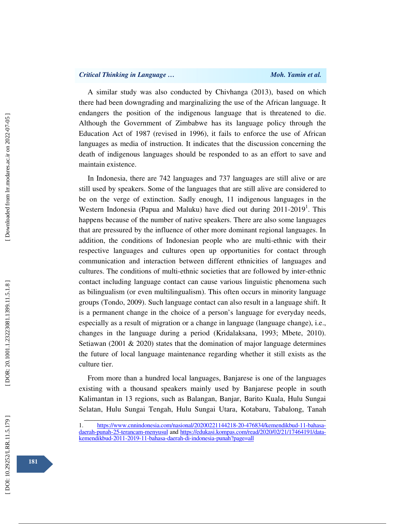A similar study was also conducted by Chivhanga (2013), based on which there had been downgrading and marginalizing the use of the African language. It endangers the position of the indigenous language that is threatened to die. Although the Government of Zimbabwe has its language policy through the Education Act of 1987 (revised in 1996), it fails to enforce the use of African languages as media of instruction. It indicates that the discussion concerning the death of indigenous languages should be responded to as an effort to save and maintain existence.

In Indonesia, there are 742 languages and 737 languages are still alive or are still used by speakers. Some of the languages that are still alive are considered to be on the verge of extinction. Sadly enough, 11 indigenous languages in the Western Indonesia (Papua and Maluku) have died out during 2011-2019<sup>1</sup>. This happens because of the number of native speakers. There are also some languages that are pressured by the influence of other more dominant regional languages. In addition, the conditions of Indonesian people who are multi-ethnic with their respective languages and cultures open up opportunities for contact through communication and interaction between different ethnicities of languages and cultures. The conditions of multi-ethnic societies that are followed by inter-ethnic contact including language contact can cause various linguistic phenomena such as bilingualism (or even multilingualism). This often occurs in minority language groups (Tondo, 2009). Such language contact can also result in a language shift. It is a permanent change in the choice of a person's language for everyday needs, especially as a result of migration or a change in language (language change), i.e., changes in the language during a period (Kridalaksana, 1993; Mbete, 2010). Setiawan (2001  $\&$  2020) states that the domination of major language determines the future of local language maintenance regarding whether it still exists as the culture tier.

From more than a hundred local languages, Banjarese is one of the languages existing with a thousand speakers mainly used by Banjarese people in south Kalimantan in 13 regions, such as Balangan, Banjar, Barito Kuala, Hulu Sungai Selatan, Hulu Sungai Tengah, Hulu Sungai Utara, Kotabaru, Tabalong, Tanah

<sup>1.</sup> https://www.cnnindonesia.com/nasional/20200221144218-20-476834/kemendikbud-11-bahasadaerah-punah-25-terancam-menyusul and https://edukasi.kompas.com/read/2020/02/21/17464191/datakemendikbud-2011-2019-11-bahasa-daerah-di-indonesia-punah?page=all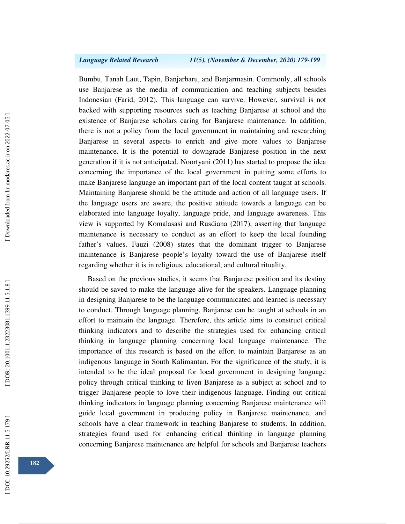Bumbu, Tanah Laut, Tapin, Banjarbaru, and Banjarmasin. Commonly, all schools use Banjarese as the media of communication and teaching subjects besides Indonesian (Farid, 2012). This language can survive. However, survival is not backed with supporting resources such as teaching Banjarese at school and the existence of Banjarese scholars caring for Banjarese maintenance. In addition, there is not a policy from the local government in maintaining and researching Banjarese in several aspects to enrich and give more values to Banjarese maintenance. It is the potential to downgrade Banjarese position in the next generation if it is not anticipated. Noortyani (2011) has started to propose the idea concerning the importance of the local government in putting some efforts to make Banjarese language an important part of the local content taught at schools. Maintaining Banjarese should be the attitude and action of all language users. If the language users are aware, the positive attitude towards a language can be elaborated into language loyalty, language pride, and language awareness. This view is supported by Komalasasi and Rusdiana (2017), asserting that language maintenance is necessary to conduct as an effort to keep the local founding father's values. Fauzi (2008) states that the dominant trigger to Banjarese maintenance is Banjarese people's loyalty toward the use of Banjarese itself regarding whether it is in religious, educational, and cultural rituality.

Based on the previous studies, it seems that Banjarese position and its destiny should be saved to make the language alive for the speakers. Language planning in designing Banjarese to be the language communicated and learned is necessary to conduct. Through language planning, Banjarese can be taught at schools in an effort to maintain the language. Therefore, this article aims to construct critical thinking indicators and to describe the strategies used for enhancing critical thinking in language planning concerning local language maintenance. The importance of this research is based on the effort to maintain Banjarese as an indigenous language in South Kalimantan. For the significance of the study, it is intended to be the ideal proposal for local government in designing language policy through critical thinking to liven Banjarese as a subject at school and to trigger Banjarese people to love their indigenous language. Finding out critical thinking indicators in language planning concerning Banjarese maintenance will guide local government in producing policy in Banjarese maintenance, and schools have a clear framework in teaching Banjarese to students. In addition, strategies found used for enhancing critical thinking in language planning concerning Banjarese maintenance are helpful for schools and Banjarese teachers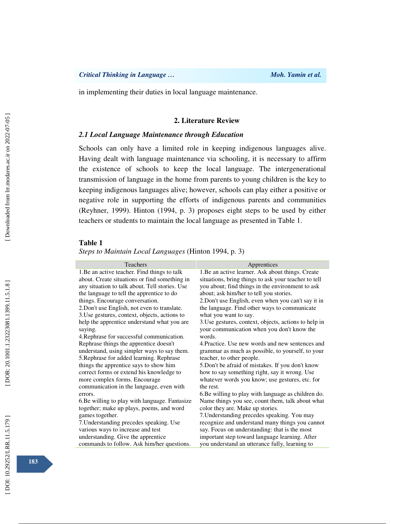in implementing their duties in local language maintenance.

## **2. Literature Review**

# *2.1 Local Language Maintenance through Education*

Schools can only have a limited role in keeping indigenous languages alive. Having dealt with language maintenance via schooling, it is necessary to affirm the existence of schools to keep the local language. The intergenerational transmission of language in the home from parents to young children is the key to keeping indigenous languages alive; however, schools can play either a positive or negative role in supporting the efforts of indigenous parents and communities (Reyhner, 1999). Hinton (1994, p. 3) proposes eight steps to be used by either teachers or students to maintain the local language as presented in Table 1.

#### **Table 1**

*Steps to Maintain Local Languages* (Hinton 1994, p. 3)

| <b>Teachers</b>                                        | Apprentices                                                                                         |
|--------------------------------------------------------|-----------------------------------------------------------------------------------------------------|
| 1. Be an active teacher. Find things to talk           | 1. Be an active learner. Ask about things. Create                                                   |
| about. Create situations or find something in          | situations, bring things to ask your teacher to tell                                                |
| any situation to talk about. Tell stories. Use         | you about; find things in the environment to ask                                                    |
| the language to tell the apprentice to do              | about; ask him/her to tell you stories.                                                             |
| things. Encourage conversation.                        | 2. Don't use English, even when you can't say it in                                                 |
| 2. Don't use English, not even to translate.           | the language. Find other ways to communicate                                                        |
| 3. Use gestures, context, objects, actions to          | what you want to say.                                                                               |
| help the apprentice understand what you are<br>saying. | 3. Use gestures, context, objects, actions to help in<br>your communication when you don't know the |
| 4. Rephrase for successful communication.              | words.                                                                                              |
| Rephrase things the apprentice doesn't                 | 4. Practice. Use new words and new sentences and                                                    |
| understand, using simpler ways to say them.            | grammar as much as possible, to yourself, to your                                                   |
| 5. Rephrase for added learning. Rephrase               | teacher, to other people.                                                                           |
| things the apprentice says to show him                 | 5. Don't be afraid of mistakes. If you don't know                                                   |
| correct forms or extend his knowledge to               | how to say something right, say it wrong. Use                                                       |
| more complex forms. Encourage                          | whatever words you know; use gestures, etc. for                                                     |
| communication in the language, even with               | the rest.                                                                                           |
| errors.                                                | 6. Be willing to play with language as children do.                                                 |
| 6. Be willing to play with language. Fantasize         | Name things you see, count them, talk about what                                                    |
| together; make up plays, poems, and word               | color they are. Make up stories.                                                                    |
| games together.                                        | 7. Understanding precedes speaking. You may                                                         |
| 7. Understanding precedes speaking. Use                | recognize and understand many things you cannot                                                     |
| various ways to increase and test                      | say. Focus on understanding: that is the most                                                       |
| understanding. Give the apprentice                     | important step toward language learning. After                                                      |
| commands to follow. Ask him/her questions.             | you understand an utterance fully, learning to                                                      |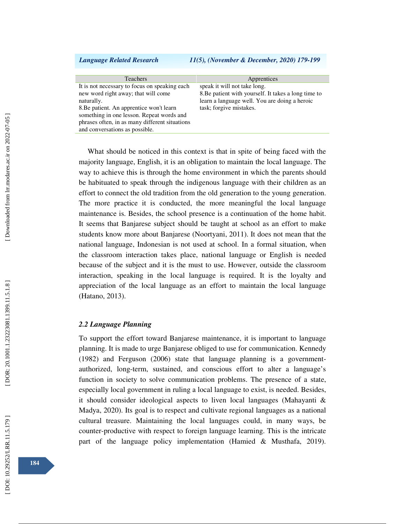#### *Language Related Research 11(5), (November & December, 2020) 179-199*

| <b>Teachers</b>                                | Apprentices                                          |
|------------------------------------------------|------------------------------------------------------|
| It is not necessary to focus on speaking each  | speak it will not take long.                         |
| new word right away; that will come            | 8. Be patient with yourself. It takes a long time to |
| naturally.                                     | learn a language well. You are doing a heroic        |
| 8. Be patient. An apprentice won't learn       | task; forgive mistakes.                              |
| something in one lesson. Repeat words and      |                                                      |
| phrases often, in as many different situations |                                                      |
| and conversations as possible.                 |                                                      |

What should be noticed in this context is that in spite of being faced with the majority language, English, it is an obligation to maintain the local language. The way to achieve this is through the home environment in which the parents should be habituated to speak through the indigenous language with their children as an effort to connect the old tradition from the old generation to the young generation. The more practice it is conducted, the more meaningful the local language maintenance is. Besides, the school presence is a continuation of the home habit. It seems that Banjarese subject should be taught at school as an effort to make students know more about Banjarese (Noortyani, 2011). It does not mean that the national language, Indonesian is not used at school. In a formal situation, when the classroom interaction takes place, national language or English is needed because of the subject and it is the must to use. However, outside the classroom interaction, speaking in the local language is required. It is the loyalty and appreciation of the local language as an effort to maintain the local language (Hatano, 2013).

### *2.2 Language Planning*

To support the effort toward Banjarese maintenance, it is important to language planning. It is made to urge Banjarese obliged to use for communication. Kennedy (1982) and Ferguson (2006) state that language planning is a governmentauthorized, long-term, sustained, and conscious effort to alter a language's function in society to solve communication problems. The presence of a state, especially local government in ruling a local language to exist, is needed. Besides, it should consider ideological aspects to liven local languages (Mahayanti & Madya, 2020). Its goal is to respect and cultivate regional languages as a national cultural treasure. Maintaining the local languages could, in many ways, be counter-productive with respect to foreign language learning. This is the intricate part of the language policy implementation (Hamied & Musthafa, 2019).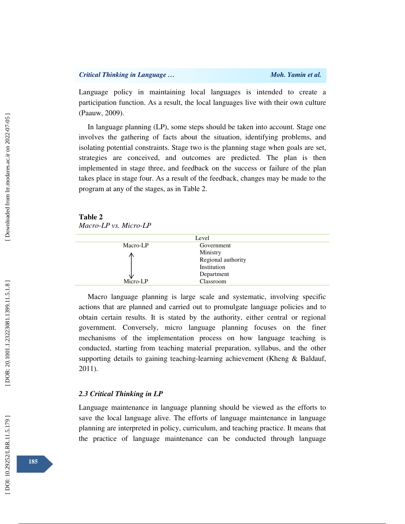Language policy in maintaining local languages is intended to create a participation function. As a result, the local languages live with their own culture (Paauw, 2009).

In language planning (LP), some steps should be taken into account. Stage one involves the gathering of facts about the situation, identifying problems, and isolating potential constraints. Stage two is the planning stage when goals are set, strategies are conceived, and outcomes are predicted. The plan is then implemented in stage three, and feedback on the success or failure of the plan takes place in stage four. As a result of the feedback, changes may be made to the program at any of the stages, as in Table 2.

**Table 2**  *Macro-LP vs. Micro-LP* 

| Level    |                    |  |
|----------|--------------------|--|
| Macro-LP | Government         |  |
|          | Ministry           |  |
|          | Regional authority |  |
|          | Institution        |  |
|          | Department         |  |
| Micro-LP | Classroom          |  |

Macro language planning is large scale and systematic, involving specific actions that are planned and carried out to promulgate language policies and to obtain certain results. It is stated by the authority, either central or regional government. Conversely, micro language planning focuses on the finer mechanisms of the implementation process on how language teaching is conducted, starting from teaching material preparation, syllabus, and the other supporting details to gaining teaching-learning achievement (Kheng & Baldauf, 2011).

## *2.3 Critical Thinking in LP*

Language maintenance in language planning should be viewed as the efforts to save the local language alive. The efforts of language maintenance in language planning are interpreted in policy, curriculum, and teaching practice. It means that the practice of language maintenance can be conducted through language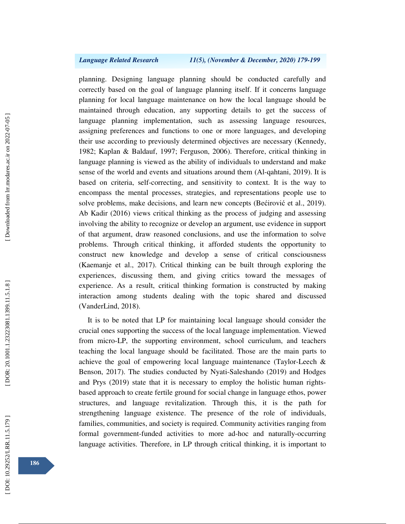planning. Designing language planning should be conducted carefully and correctly based on the goal of language planning itself. If it concerns language planning for local language maintenance on how the local language should be maintained through education, any supporting details to get the success of language planning implementation, such as assessing language resources, assigning preferences and functions to one or more languages, and developing their use according to previously determined objectives are necessary (Kennedy, 1982; Kaplan & Baldauf, 1997; Ferguson, 2006). Therefore, critical thinking in language planning is viewed as the ability of individuals to understand and make sense of the world and events and situations around them (Al-qahtani, 2019). It is based on criteria, self-correcting, and sensitivity to context. It is the way to encompass the mental processes, strategies, and representations people use to solve problems, make decisions, and learn new concepts (Be ćirovi ć et al., 2019). Ab Kadir (2016) views critical thinking as the process of judging and assessing involving the ability to recognize or develop an argument, use evidence in support of that argument, draw reasoned conclusions, and use the information to solve problems. Through critical thinking, it afforded students the opportunity to construct new knowledge and develop a sense of critical consciousness (Kaemanje et al., 2017). Critical thinking can be built through exploring the experiences, discussing them, and giving critics toward the messages of experience. As a result, critical thinking formation is constructed by making interaction among students dealing with the topic shared and discussed (VanderLind, 2018).

It is to be noted that LP for maintaining local language should consider the crucial ones supporting the success of the local language implementation. Viewed from micro-LP, the supporting environment, school curriculum, and teachers teaching the local language should be facilitated. Those are the main parts to achieve the goal of empowering local language maintenance (Taylor-Leech & Benson, 2017). The studies conducted by Nyati-Saleshando (2019) and Hodges and Prys (2019) state that it is necessary to employ the holistic human rightsbased approach to create fertile ground for social change in language ethos, power structures, and language revitalization. Through this, it is the path for strengthening language existence. The presence of the role of individuals, families, communities, and society is required. Community activities ranging from formal government-funded activities to more ad-hoc and naturally-occurring language activities. Therefore, in LP through critical thinking, it is important to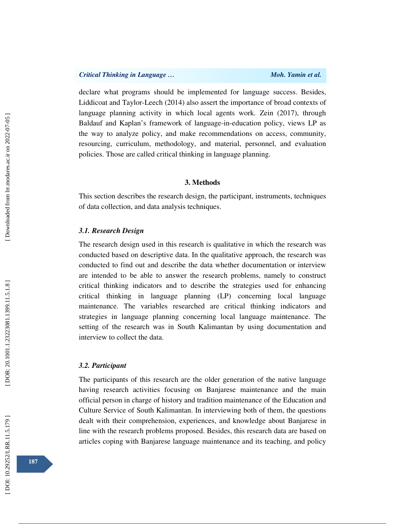declare what programs should be implemented for language success. Besides, Liddicoat and Taylor-Leech (2014) also assert the importance of broad contexts of language planning activity in which local agents work. Zein (2017), through Baldauf and Kaplan's framework of language-in-education policy, views LP as the way to analyze policy, and make recommendations on access, community, resourcing, curriculum, methodology, and material, personnel, and evaluation policies. Those are called critical thinking in language planning.

### **3. Methods**

This section describes the research design, the participant, instruments, techniques of data collection, and data analysis techniques.

## *3.1. Research Design*

The research design used in this research is qualitative in which the research was conducted based on descriptive data. In the qualitative approach, the research was conducted to find out and describe the data whether documentation or interview are intended to be able to answer the research problems, namely to construct critical thinking indicators and to describe the strategies used for enhancing critical thinking in language planning (LP) concerning local language maintenance. The variables researched are critical thinking indicators and strategies in language planning concerning local language maintenance. The setting of the research was in South Kalimantan by using documentation and interview to collect the data.

### *3.2. Participant*

The participants of this research are the older generation of the native language having research activities focusing on Banjarese maintenance and the main official person in charge of history and tradition maintenance of the Education and Culture Service of South Kalimantan. In interviewing both of them, the questions dealt with their comprehension, experiences, and knowledge about Banjarese in line with the research problems proposed. Besides, this research data are based on articles coping with Banjarese language maintenance and its teaching, and policy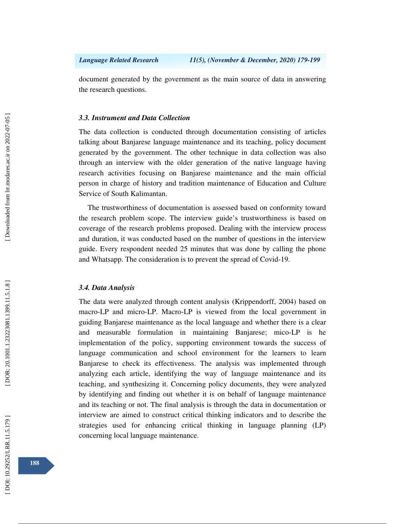document generated by the government as the main source of data in answering the research questions.

# *3.3. Instrument and Data Collection*

The data collection is conducted through documentation consisting of articles talking about Banjarese language maintenance and its teaching, policy document generated by the government. The other technique in data collection was also through an interview with the older generation of the native language having research activities focusing on Banjarese maintenance and the main official person in charge of history and tradition maintenance of Education and Culture Service of South Kalimantan.

The trustworthiness of documentation is assessed based on conformity toward the research problem scope. The interview guide's trustworthiness is based on coverage of the research problems proposed. Dealing with the interview process and duration, it was conducted based on the number of questions in the interview guide. Every respondent needed 25 minutes that was done by calling the phone and Whatsapp. The consideration is to prevent the spread of Covid-19.

### *3.4. Data Analysis*

The data were analyzed through content analysis (Krippendorff, 2004) based on macro-LP and micro-LP. Macro-LP is viewed from the local government in guiding Banjarese maintenance as the local language and whether there is a clear and measurable formulation in maintaining Banjarese; mico-LP is he implementation of the policy, supporting environment towards the success of language communication and school environment for the learners to learn Banjarese to check its effectiveness. The analysis was implemented through analyzing each article, identifying the way of language maintenance and its teaching, and synthesizing it. Concerning policy documents, they were analyzed by identifying and finding out whether it is on behalf of language maintenance and its teaching or not. The final analysis is through the data in documentation or interview are aimed to construct critical thinking indicators and to describe the strategies used for enhancing critical thinking in language planning (LP) concerning local language maintenance.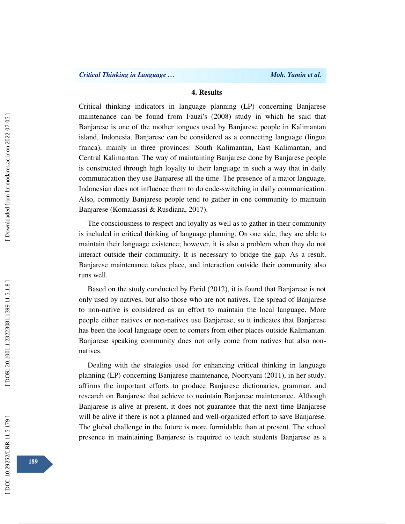# **4. Results**

Critical thinking indicators in language planning (LP) concerning Banjarese maintenance can be found from Fauzi's (2008) study in which he said that Banjarese is one of the mother tongues used by Banjarese people in Kalimantan island, Indonesia. Banjarese can be considered as a connecting language (lingua franca), mainly in three provinces: South Kalimantan, East Kalimantan, and Central Kalimantan. The way of maintaining Banjarese done by Banjarese people is constructed through high loyalty to their language in such a way that in daily communication they use Banjarese all the time. The presence of a major language, Indonesian does not influence them to do code-switching in daily communication. Also, commonly Banjarese people tend to gather in one community to maintain Banjarese (Komalasasi & Rusdiana, 2017).

The consciousness to respect and loyalty as well as to gather in their community is included in critical thinking of language planning. On one side, they are able to maintain their language existence; however, it is also a problem when they do not interact outside their community. It is necessary to bridge the gap. As a result, Banjarese maintenance takes place, and interaction outside their community also runs well.

Based on the study conducted by Farid (2012), it is found that Banjarese is not only used by natives, but also those who are not natives. The spread of Banjarese to non-native is considered as an effort to maintain the local language. More people either natives or non-natives use Banjarese, so it indicates that Banjarese has been the local language open to comers from other places outside Kalimantan. Banjarese speaking community does not only come from natives but also nonnatives.

Dealing with the strategies used for enhancing critical thinking in language planning (LP) concerning Banjarese maintenance, Noortyani (2011), in her study, affirms the important efforts to produce Banjarese dictionaries, grammar, and research on Banjarese that achieve to maintain Banjarese maintenance. Although Banjarese is alive at present, it does not guarantee that the next time Banjarese will be alive if there is not a planned and well-organized effort to save Banjarese. The global challenge in the future is more formidable than at present. The school presence in maintaining Banjarese is required to teach students Banjarese as a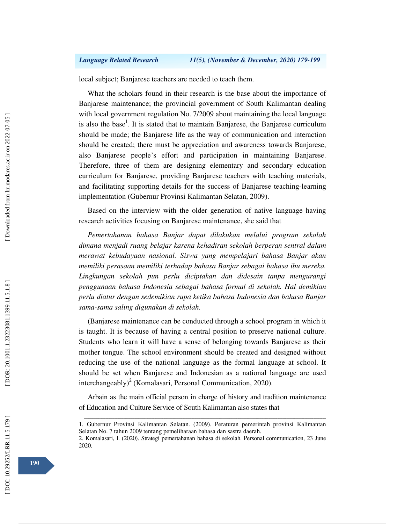local subject; Banjarese teachers are needed to teach them.

What the scholars found in their research is the base about the importance of Banjarese maintenance; the provincial government of South Kalimantan dealing with local government regulation No. 7/2009 about maintaining the local language is also the base<sup>1</sup>. It is stated that to maintain Banjarese, the Banjarese curriculum should be made; the Banjarese life as the way of communication and interaction should be created; there must be appreciation and awareness towards Banjarese, also Banjarese people's effort and participation in maintaining Banjarese. Therefore, three of them are designing elementary and secondary education curriculum for Banjarese, providing Banjarese teachers with teaching materials, and facilitating supporting details for the success of Banjarese teaching-learning implementation (Gubernur Provinsi Kalimantan Selatan, 2009).

Based on the interview with the older generation of native language having research activities focusing on Banjarese maintenance, she said that

*Pemertahanan bahasa Banjar dapat dilakukan melalui program sekolah dimana menjadi ruang belajar karena kehadiran sekolah berperan sentral dalam merawat kebudayaan nasional. Siswa yang mempelajari bahasa Banjar akan memiliki perasaan memiliki terhadap bahasa Banjar sebagai bahasa ibu mereka. Lingkungan sekolah pun perlu diciptakan dan didesain tanpa mengurangi penggunaan bahasa Indonesia sebagai bahasa formal di sekolah. Hal demikian perlu diatur dengan sedemikian rupa ketika bahasa Indonesia dan bahasa Banjar sama-sama saling digunakan di sekolah.* 

(Banjarese maintenance can be conducted through a school program in which it is taught. It is because of having a central position to preserve national culture. Students who learn it will have a sense of belonging towards Banjarese as their mother tongue. The school environment should be created and designed without reducing the use of the national language as the formal language at school. It should be set when Banjarese and Indonesian as a national language are used interchangeably) 2 (Komalasari, Personal Communication, 2020).

Arbain as the main official person in charge of history and tradition maintenance of Education and Culture Service of South Kalimantan also states that

ــــــــــــــــــــــــــــــــــــــــــــــــــــــــــــــــــــــــــــــــــــــــــــــــــــــــــــــــــــــــــــــــــــــــــــــــــــــــــــــــــــــــــــــــــــــــــــــــــــــــــــــــــــــــــــــــــــــــــــــــــــــــــــــــــــــــــــ 1. Gubernur Provinsi Kalimantan Selatan. (2009). Peraturan pemerintah provinsi Kalimantan Selatan No. 7 tahun 2009 tentang pemeliharaan bahasa dan sastra daerah.

<sup>2.</sup> Komalasari, I. (2020). Strategi pemertahanan bahasa di sekolah. Personal communication, 23 June 2020.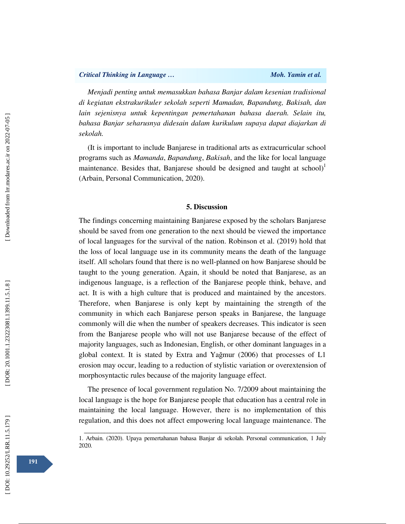*Menjadi penting untuk memasukkan bahasa Banjar dalam kesenian tradisional di kegiatan ekstrakurikuler sekolah seperti Mamadan, Bapandung, Bakisah, dan lain sejenisnya untuk kepentingan pemertahanan bahasa daerah. Selain itu, bahasa Banjar seharusnya didesain dalam kurikulum supaya dapat diajarkan di sekolah.*

(It is important to include Banjarese in traditional arts as extracurricular school programs such as *Mamanda*, *Bapandung*, *Bakisah*, and the like for local language maintenance. Besides that, Banjarese should be designed and taught at school)<sup>1</sup> (Arbain, Personal Communication, 2020).

## **5. Discussion**

The findings concerning maintaining Banjarese exposed by the scholars Banjarese should be saved from one generation to the next should be viewed the importance of local languages for the survival of the nation. Robinson et al. (2019) hold that the loss of local language use in its community means the death of the language itself. All scholars found that there is no well-planned on how Banjarese should be taught to the young generation. Again, it should be noted that Banjarese, as an indigenous language, is a reflection of the Banjarese people think, behave, and act. It is with a high culture that is produced and maintained by the ancestors. Therefore, when Banjarese is only kept by maintaining the strength of the community in which each Banjarese person speaks in Banjarese, the language commonly will die when the number of speakers decreases. This indicator is seen from the Banjarese people who will not use Banjarese because of the effect of majority languages, such as Indonesian, English, or other dominant languages in a global context. It is stated by Extra and Ya ğmur (2006) that processes of L1 erosion may occur, leading to a reduction of stylistic variation or overextension of morphosyntactic rules because of the majority language effect.

The presence of local government regulation No. 7/2009 about maintaining the local language is the hope for Banjarese people that education has a central role in maintaining the local language. However, there is no implementation of this regulation, and this does not affect empowering local language maintenance. The

ــــــــــــــــــــــــــــــــــــــــــــــــــــــــــــــــــــــــــــــــــــــــــــــــــــــــــــــــــــــــــــــــــــــــــــــــــــــــــــــــــــــــــــــــــــــــــــــــــــــــــــــــــــــــــــــــــــــــــــــــــــــــــــــــــــــــــــ 1. Arbain. (2020). Upaya pemertahanan bahasa Banjar di sekolah. Personal communication, 1 July 2020.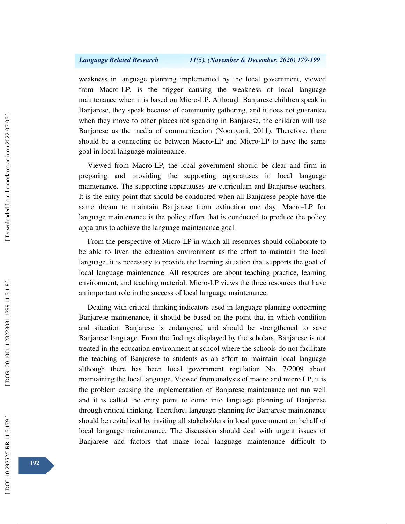weakness in language planning implemented by the local government, viewed from Macro-LP, is the trigger causing the weakness of local language maintenance when it is based on Micro-LP. Although Banjarese children speak in Banjarese, they speak because of community gathering, and it does not guarantee when they move to other places not speaking in Banjarese, the children will use Banjarese as the media of communication (Noortyani, 2011). Therefore, there should be a connecting tie between Macro-LP and Micro-LP to have the same goal in local language maintenance.

Viewed from Macro-LP, the local government should be clear and firm in preparing and providing the supporting apparatuses in local language maintenance. The supporting apparatuses are curriculum and Banjarese teachers. It is the entry point that should be conducted when all Banjarese people have the same dream to maintain Banjarese from extinction one day. Macro-LP for language maintenance is the policy effort that is conducted to produce the policy apparatus to achieve the language maintenance goal.

From the perspective of Micro-LP in which all resources should collaborate to be able to liven the education environment as the effort to maintain the local language, it is necessary to provide the learning situation that supports the goal of local language maintenance. All resources are about teaching practice, learning environment, and teaching material. Micro-LP views the three resources that have an important role in the success of local language maintenance.

Dealing with critical thinking indicators used in language planning concerning Banjarese maintenance, it should be based on the point that in which condition and situation Banjarese is endangered and should be strengthened to save Banjarese language. From the findings displayed by the scholars, Banjarese is not treated in the education environment at school where the schools do not facilitate the teaching of Banjarese to students as an effort to maintain local language although there has been local government regulation No. 7/2009 about maintaining the local language. Viewed from analysis of macro and micro LP, it is the problem causing the implementation of Banjarese maintenance not run well and it is called the entry point to come into language planning of Banjarese through critical thinking. Therefore, language planning for Banjarese maintenance should be revitalized by inviting all stakeholders in local government on behalf of local language maintenance. The discussion should deal with urgent issues of Banjarese and factors that make local language maintenance difficult to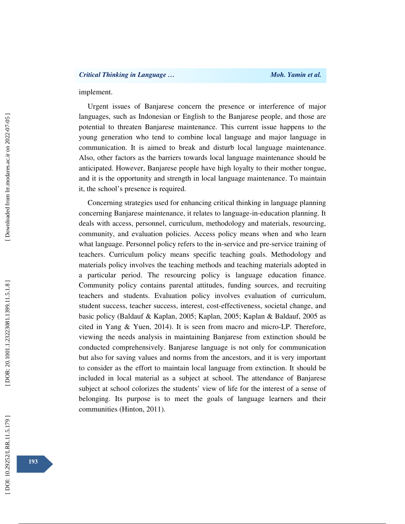## implement.

Urgent issues of Banjarese concern the presence or interference of major languages, such as Indonesian or English to the Banjarese people, and those are potential to threaten Banjarese maintenance. This current issue happens to the young generation who tend to combine local language and major language in communication. It is aimed to break and disturb local language maintenance. Also, other factors as the barriers towards local language maintenance should be anticipated. However, Banjarese people have high loyalty to their mother tongue, and it is the opportunity and strength in local language maintenance. To maintain it, the school's presence is required.

Concerning strategies used for enhancing critical thinking in language planning concerning Banjarese maintenance, it relates to language-in-education planning. It deals with access, personnel, curriculum, methodology and materials, resourcing, community, and evaluation policies. Access policy means when and who learn what language. Personnel policy refers to the in-service and pre-service training of teachers. Curriculum policy means specific teaching goals. Methodology and materials policy involves the teaching methods and teaching materials adopted in a particular period. The resourcing policy is language education finance. Community policy contains parental attitudes, funding sources, and recruiting teachers and students. Evaluation policy involves evaluation of curriculum, student success, teacher success, interest, cost-effectiveness, societal change, and basic policy (Baldauf & Kaplan, 2005; Kaplan, 2005; Kaplan & Baldauf, 2005 as cited in Yang & Yuen, 2014). It is seen from macro and micro-LP. Therefore, viewing the needs analysis in maintaining Banjarese from extinction should be conducted comprehensively. Banjarese language is not only for communication but also for saving values and norms from the ancestors, and it is very important to consider as the effort to maintain local language from extinction. It should be included in local material as a subject at school. The attendance of Banjarese subject at school colorizes the students' view of life for the interest of a sense of belonging. Its purpose is to meet the goals of language learners and their communities (Hinton, 2011).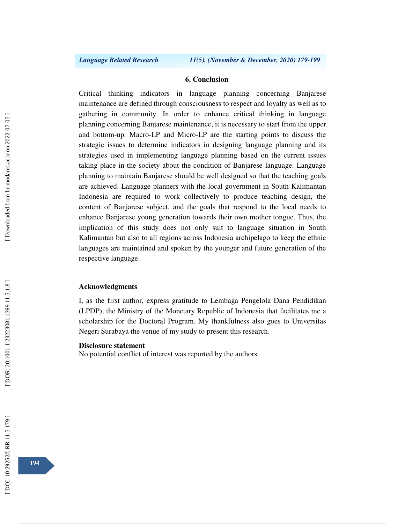#### **6. Conclusion**

Critical thinking indicators in language planning concerning Banjarese maintenance are defined through consciousness to respect and loyalty as well as to gathering in community. In order to enhance critical thinking in language planning concerning Banjarese maintenance, it is necessary to start from the upper and bottom-up. Macro-LP and Micro-LP are the starting points to discuss the strategic issues to determine indicators in designing language planning and its strategies used in implementing language planning based on the current issues taking place in the society about the condition of Banjarese language. Language planning to maintain Banjarese should be well designed so that the teaching goals are achieved. Language planners with the local government in South Kalimantan Indonesia are required to work collectively to produce teaching design, the content of Banjarese subject, and the goals that respond to the local needs to enhance Banjarese young generation towards their own mother tongue. Thus, the implication of this study does not only suit to language situation in South Kalimantan but also to all regions across Indonesia archipelago to keep the ethnic languages are maintained and spoken by the younger and future generation of the respective language.

# **Acknowledgments**

I, as the first author, express gratitude to Lembaga Pengelola Dana Pendidikan (LPDP), the Ministry of the Monetary Republic of Indonesia that facilitates me a scholarship for the Doctoral Program. My thankfulness also goes to Universitas Negeri Surabaya the venue of my study to present this research.

#### **Disclosure statement**

No potential conflict of interest was reported by the authors.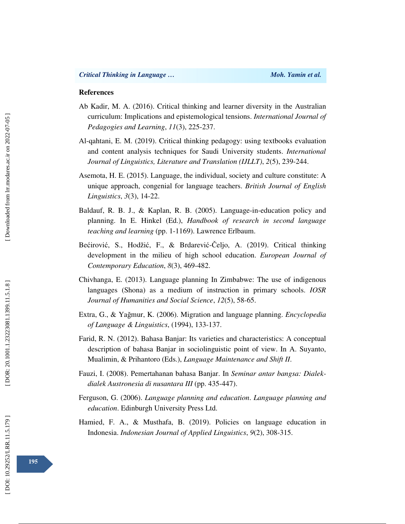### **References**

- Ab Kadir, M. A. (2016). Critical thinking and learner diversity in the Australian curriculum: Implications and epistemological tensions. *International Journal of Pedagogies and Learning*, *11*(3), 225-237.
- Al-qahtani, E. M. (2019). Critical thinking pedagogy: using textbooks evaluation and content analysis techniques for Saudi University students. *International Journal of Linguistics, Literature and Translation (IJLLT)*, *2*(5), 239-244.
- Asemota, H. E. (2015). Language, the individual, society and culture constitute: A unique approach, congenial for language teachers. *British Journal of English Linguistics*, *3*(3), 14-22.
- Baldauf, R. B. J., & Kaplan, R. B. (2005). Language-in-education policy and planning. In E. Hinkel (Ed.), *Handbook of research in second language teaching and learning* (pp. 1-1169). Lawrence Erlbaum.
- Be ćirovi ć, S., Hodži ć, F., & Brdarevi ć Čeljo, A. (2019). Critical thinking development in the milieu of high school education. *European Journal of Contemporary Education*, *8*(3), 469-482.
- Chivhanga, E. (2013). Language planning In Zimbabwe: The use of indigenous languages (Shona) as a medium of instruction in primary schools. *IOSR Journal of Humanities and Social Science*, *12*(5), 58-65.
- Extra, G., & Ya ğmur, K. (2006). Migration and language planning. *Encyclopedia of Language & Linguistics*, (1994), 133-137.
- Farid, R. N. (2012). Bahasa Banjar: Its varieties and characteristics: A conceptual description of bahasa Banjar in sociolinguistic point of view. In A. Suyanto, Mualimin, & Prihantoro (Eds.), *Language Maintenance and Shift II*.
- Fauzi, I. (2008). Pemertahanan bahasa Banjar. In *Seminar antar bangsa: Dialekdialek Austronesia di nusantara III* (pp. 435-447).
- Ferguson, G. (2006). *Language planning and education*. *Language planning and education*. Edinburgh University Press Ltd.
- Hamied, F. A., & Musthafa, B. (2019). Policies on language education in Indonesia. *Indonesian Journal of Applied Linguistics*, *9*(2), 308-315.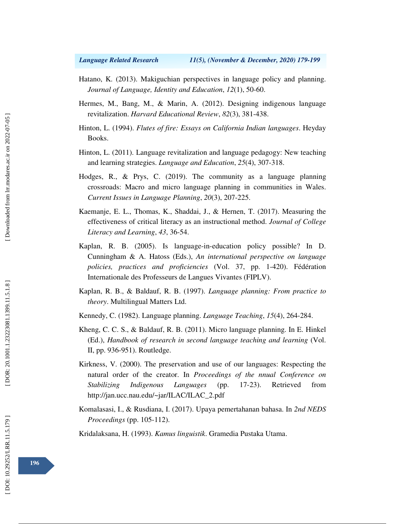- Hatano, K. (2013). Makiguchian perspectives in language policy and planning. *Journal of Language, Identity and Education*, *12*(1), 50-60.
- Hermes, M., Bang, M., & Marin, A. (2012). Designing indigenous language revitalization. *Harvard Educational Review*, *82*(3), 381-438.
- Hinton, L. (1994). *Flutes of fire: Essays on California Indian languages*. Heyday Books.
- Hinton, L. (2011). Language revitalization and language pedagogy: New teaching and learning strategies. *Language and Education*, *25*(4), 307-318.
- Hodges, R., & Prys, C. (2019). The community as a language planning crossroads: Macro and micro language planning in communities in Wales. *Current Issues in Language Planning*, *20*(3), 207-225.
- Kaemanje, E. L., Thomas, K., Shaddai, J., & Hernen, T. (2017). Measuring the effectiveness of critical literacy as an instructional method. *Journal of College Literacy and Learning*, *43*, 36-54.
- Kaplan, R. B. (2005). Is language-in-education policy possible? In D. Cunningham & A. Hatoss (Eds.), *An international perspective on language policies, practices and proficiencies* (Vol. 37, pp. 1-420). Fédération Internationale des Professeurs de Langues Vivantes (FIPLV).
- Kaplan, R. B., & Baldauf, R. B. (1997). *Language planning: From practice to theory*. Multilingual Matters Ltd.
- Kennedy, C. (1982). Language planning. *Language Teaching*, *15*(4), 264-284.
- Kheng, C. C. S., & Baldauf, R. B. (2011). Micro language planning. In E. Hinkel (Ed.), *Handbook of research in second language teaching and learning* (Vol. II, pp. 936-951). Routledge.
- Kirkness, V. (2000). The preservation and use of our languages: Respecting the natural order of the creator. In *Proceedings of the nnual Conference on Stabilizing Indigenous Languages* (pp. 17-23). Retrieved from http://jan.ucc.nau.edu/~jar/ILAC/ILAC\_2.pdf
- Komalasasi, I., & Rusdiana, I. (2017). Upaya pemertahanan bahasa. In *2nd NEDS Proceedings* (pp. 105-112).

Kridalaksana, H. (1993). *Kamus linguistik*. Gramedia Pustaka Utama.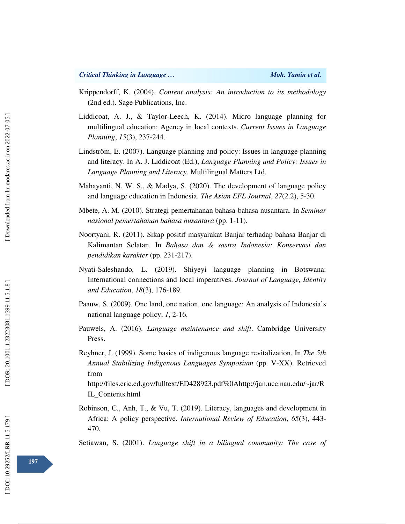- Krippendorff, K. (2004). *Content analysis: An introduction to its methodology* (2nd ed.). Sage Publications, Inc.
- Liddicoat, A. J., & Taylor-Leech, K. (2014). Micro language planning for multilingual education: Agency in local contexts. *Current Issues in Language Planning*, *15*(3), 237-244.
- Lindström, E. (2007). Language planning and policy: Issues in language planning and literacy. In A. J. Liddicoat (Ed.), *Language Planning and Policy: Issues in Language Planning and Literacy*. Multilingual Matters Ltd.
- Mahayanti, N. W. S., & Madya, S. (2020). The development of language policy and language education in Indonesia. *The Asian EFL Journal*, *27*(2.2), 5-30.
- Mbete, A. M. (2010). Strategi pemertahanan bahasa-bahasa nusantara. In *Seminar nasional pemertahanan bahasa nusantara* (pp. 1-11).
- Noortyani, R. (2011). Sikap positif masyarakat Banjar terhadap bahasa Banjar di Kalimantan Selatan. In *Bahasa dan & sastra Indonesia: Konservasi dan pendidikan karakter* (pp. 231-217).
- Nyati-Saleshando, L. (2019). Shiyeyi language planning in Botswana: International connections and local imperatives. *Journal of Language, Identity and Education*, *18*(3), 176-189.
- Paauw, S. (2009). One land, one nation, one language: An analysis of Indonesia's national language policy, *1*, 2-16.
- Pauwels, A. (2016). *Language maintenance and shift*. Cambridge University Press.
- Reyhner, J. (1999). Some basics of indigenous language revitalization. In *The 5th Annual Stabilizing Indigenous Languages Symposium* (pp. V-XX). Retrieved from

http://files.eric.ed.gov/fulltext/ED428923.pdf%0Ahttp://jan.ucc.nau.edu/~jar/R IL\_Contents.html

Robinson, C., Anh, T., & Vu, T. (2019). Literacy, languages and development in Africa: A policy perspective. *International Review of Education*, *65*(3), 443- 470.

Setiawan, S. (2001). *Language shift in a bilingual community: The case of*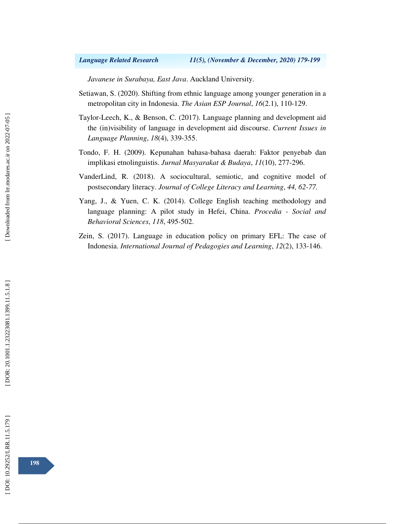# *Language Related Research 11(5), (November & December, 2020) 179-199*

*Javanese in Surabaya, East Java*. Auckland University.

- Setiawan, S. (2020). Shifting from ethnic language among younger generation in a metropolitan city in Indonesia. *The Asian ESP Journal*, *16*(2.1), 110-129.
- Taylor-Leech, K., & Benson, C. (2017). Language planning and development aid the (in)visibility of language in development aid discourse. *Current Issues in Language Planning*, *18*(4), 339-355.
- Tondo, F. H. (2009). Kepunahan bahasa-bahasa daerah: Faktor penyebab dan implikasi etnolinguistis. *Jurnal Masyarakat & Budaya*, *11*(10), 277-296.
- VanderLind, R. (2018). A sociocultural, semiotic, and cognitive model of postsecondary literacy. *Journal of College Literacy and Learning*, *44, 62-77.*
- Yang, J., & Yuen, C. K. (2014). College English teaching methodology and language planning: A pilot study in Hefei, China. *Procedia - Social and Behavioral Sciences*, *118*, 495-502.
- Zein, S. (2017). Language in education policy on primary EFL: The case of Indonesia. *International Journal of Pedagogies and Learning*, *12*(2), 133-146.